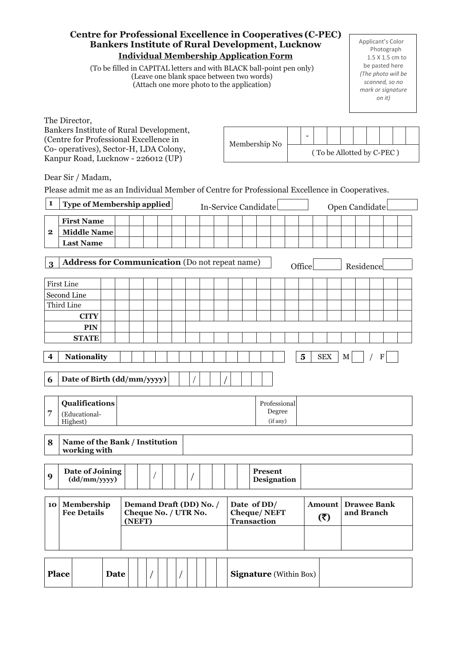| <b>Centre for Professional Excellence in Cooperatives (C-PEC)</b><br><b>Bankers Institute of Rural Development, Lucknow</b><br><b>Individual Membership Application Form</b><br>(To be filled in CAPITAL letters and with BLACK ball-point pen only)<br>(Leave one blank space between two words)<br>(Attach one more photo to the application)<br>The Director, |                                                                                                               |  |  |  |                                                                                 |  |  |  |  | Applicant's Color<br>Photograph<br>1.5 X 1.5 cm to<br>be pasted here<br>(The photo will be<br>scanned, so no<br>mark or signature<br>on it) |                                  |  |                      |                               |  |        |  |  |                           |  |  |  |
|------------------------------------------------------------------------------------------------------------------------------------------------------------------------------------------------------------------------------------------------------------------------------------------------------------------------------------------------------------------|---------------------------------------------------------------------------------------------------------------|--|--|--|---------------------------------------------------------------------------------|--|--|--|--|---------------------------------------------------------------------------------------------------------------------------------------------|----------------------------------|--|----------------------|-------------------------------|--|--------|--|--|---------------------------|--|--|--|
|                                                                                                                                                                                                                                                                                                                                                                  | Bankers Institute of Rural Development,<br>$\overline{\phantom{a}}$<br>(Centre for Professional Excellence in |  |  |  |                                                                                 |  |  |  |  |                                                                                                                                             |                                  |  |                      |                               |  |        |  |  |                           |  |  |  |
|                                                                                                                                                                                                                                                                                                                                                                  | Co- operatives), Sector-H, LDA Colony,                                                                        |  |  |  |                                                                                 |  |  |  |  |                                                                                                                                             |                                  |  | Membership No        |                               |  |        |  |  | (To be Allotted by C-PEC) |  |  |  |
|                                                                                                                                                                                                                                                                                                                                                                  | Kanpur Road, Lucknow - 226012 (UP)<br>Dear Sir / Madam,                                                       |  |  |  |                                                                                 |  |  |  |  |                                                                                                                                             |                                  |  |                      |                               |  |        |  |  |                           |  |  |  |
|                                                                                                                                                                                                                                                                                                                                                                  | Please admit me as an Individual Member of Centre for Professional Excellence in Cooperatives.                |  |  |  |                                                                                 |  |  |  |  |                                                                                                                                             |                                  |  |                      |                               |  |        |  |  |                           |  |  |  |
| 1                                                                                                                                                                                                                                                                                                                                                                | Type of Membership applied                                                                                    |  |  |  |                                                                                 |  |  |  |  |                                                                                                                                             |                                  |  | In-Service Candidate |                               |  |        |  |  | Open Candidate            |  |  |  |
|                                                                                                                                                                                                                                                                                                                                                                  | <b>First Name</b>                                                                                             |  |  |  |                                                                                 |  |  |  |  |                                                                                                                                             |                                  |  |                      |                               |  |        |  |  |                           |  |  |  |
| $\mathbf{2}$                                                                                                                                                                                                                                                                                                                                                     | <b>Middle Name</b>                                                                                            |  |  |  |                                                                                 |  |  |  |  |                                                                                                                                             |                                  |  |                      |                               |  |        |  |  |                           |  |  |  |
|                                                                                                                                                                                                                                                                                                                                                                  | <b>Last Name</b>                                                                                              |  |  |  |                                                                                 |  |  |  |  |                                                                                                                                             |                                  |  |                      |                               |  |        |  |  |                           |  |  |  |
| $\mathbf{3}$                                                                                                                                                                                                                                                                                                                                                     | <b>Address for Communication</b> (Do not repeat name)                                                         |  |  |  |                                                                                 |  |  |  |  |                                                                                                                                             |                                  |  |                      |                               |  | Office |  |  | Residence                 |  |  |  |
|                                                                                                                                                                                                                                                                                                                                                                  | <b>First Line</b>                                                                                             |  |  |  |                                                                                 |  |  |  |  |                                                                                                                                             |                                  |  |                      |                               |  |        |  |  |                           |  |  |  |
|                                                                                                                                                                                                                                                                                                                                                                  | Second Line                                                                                                   |  |  |  |                                                                                 |  |  |  |  |                                                                                                                                             |                                  |  |                      |                               |  |        |  |  |                           |  |  |  |
| Third Line<br><b>CITY</b>                                                                                                                                                                                                                                                                                                                                        |                                                                                                               |  |  |  |                                                                                 |  |  |  |  |                                                                                                                                             |                                  |  |                      |                               |  |        |  |  |                           |  |  |  |
|                                                                                                                                                                                                                                                                                                                                                                  | <b>PIN</b>                                                                                                    |  |  |  |                                                                                 |  |  |  |  |                                                                                                                                             |                                  |  |                      |                               |  |        |  |  |                           |  |  |  |
|                                                                                                                                                                                                                                                                                                                                                                  | <b>STATE</b>                                                                                                  |  |  |  |                                                                                 |  |  |  |  |                                                                                                                                             |                                  |  |                      |                               |  |        |  |  |                           |  |  |  |
|                                                                                                                                                                                                                                                                                                                                                                  | <b>Nationality</b><br>$\overline{\mathbf{5}}$<br><b>SEX</b><br>М                                              |  |  |  |                                                                                 |  |  |  |  |                                                                                                                                             |                                  |  |                      |                               |  |        |  |  |                           |  |  |  |
| Date of Birth (dd/mm/yyyy)<br>6                                                                                                                                                                                                                                                                                                                                  |                                                                                                               |  |  |  |                                                                                 |  |  |  |  |                                                                                                                                             |                                  |  |                      |                               |  |        |  |  |                           |  |  |  |
| 7                                                                                                                                                                                                                                                                                                                                                                | <b>Qualifications</b><br>Professional<br>Degree<br>(Educational-<br>Highest)<br>(if any)                      |  |  |  |                                                                                 |  |  |  |  |                                                                                                                                             |                                  |  |                      |                               |  |        |  |  |                           |  |  |  |
| Name of the Bank / Institution<br>8<br>working with                                                                                                                                                                                                                                                                                                              |                                                                                                               |  |  |  |                                                                                 |  |  |  |  |                                                                                                                                             |                                  |  |                      |                               |  |        |  |  |                           |  |  |  |
| 9                                                                                                                                                                                                                                                                                                                                                                | Date of Joining<br>(dd/mm/yyyy)                                                                               |  |  |  |                                                                                 |  |  |  |  |                                                                                                                                             |                                  |  |                      | <b>Present</b><br>Designation |  |        |  |  |                           |  |  |  |
| Membership<br>Demand Draft (DD) No. /<br><b>10</b><br><b>Fee Details</b><br>Cheque No. / UTR No.<br>(NEFT)                                                                                                                                                                                                                                                       |                                                                                                               |  |  |  | Date of DD/<br><b>Amount</b><br><b>Cheque/NEFT</b><br>(5)<br><b>Transaction</b> |  |  |  |  |                                                                                                                                             | <b>Drawee Bank</b><br>and Branch |  |                      |                               |  |        |  |  |                           |  |  |  |
|                                                                                                                                                                                                                                                                                                                                                                  | <b>Place</b><br><b>Signature</b> (Within Box)<br>Date                                                         |  |  |  |                                                                                 |  |  |  |  |                                                                                                                                             |                                  |  |                      |                               |  |        |  |  |                           |  |  |  |